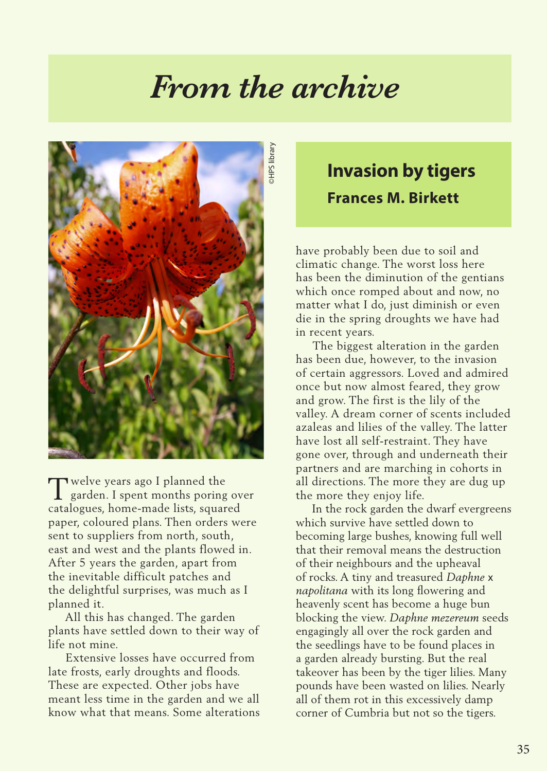## *From the archive*



Welve years ago I planned the<br>garden. I spent months poring garden. I spent months poring over catalogues, home-made lists, squared paper, coloured plans. Then orders were sent to suppliers from north, south, east and west and the plants flowed in. After 5 years the garden, apart from the inevitable difficult patches and the delightful surprises, was much as I planned it.

 All this has changed. The garden plants have settled down to their way of life not mine.

 Extensive losses have occurred from late frosts, early droughts and floods. These are expected. Other jobs have meant less time in the garden and we all know what that means. Some alterations

## **Invasion by tigers Frances M. Birkett**

have probably been due to soil and climatic change. The worst loss here has been the diminution of the gentians which once romped about and now, no matter what I do, just diminish or even die in the spring droughts we have had in recent years.

 The biggest alteration in the garden has been due, however, to the invasion of certain aggressors. Loved and admired once but now almost feared, they grow and grow. The first is the lily of the valley. A dream corner of scents included azaleas and lilies of the valley. The latter have lost all self-restraint. They have gone over, through and underneath their partners and are marching in cohorts in all directions. The more they are dug up the more they enjoy life.

 In the rock garden the dwarf evergreens which survive have settled down to becoming large bushes, knowing full well that their removal means the destruction of their neighbours and the upheaval of rocks. A tiny and treasured *Daphne* x *napolitana* with its long flowering and heavenly scent has become a huge bun blocking the view. *Daphne mezereum* seeds engagingly all over the rock garden and the seedlings have to be found places in a garden already bursting. But the real takeover has been by the tiger lilies. Many pounds have been wasted on lilies. Nearly all of them rot in this excessively damp corner of Cumbria but not so the tigers.